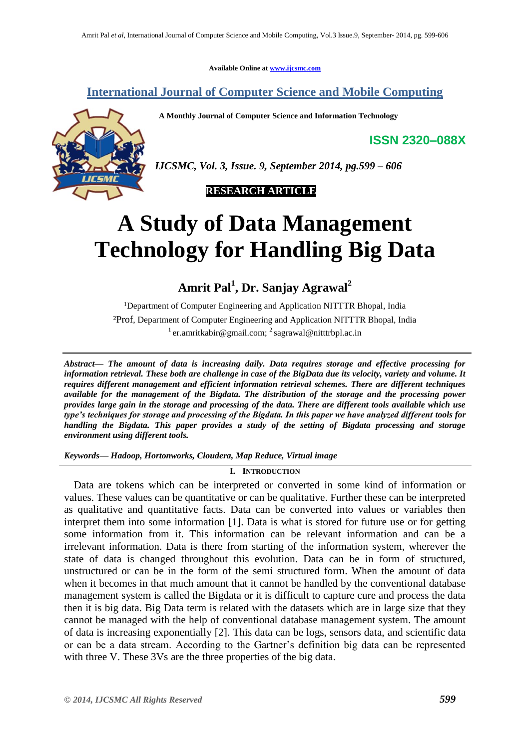**Available Online at [www.ijcsmc.com](http://www.ijcsmc.com/)**

# **International Journal of Computer Science and Mobile Computing**

 **A Monthly Journal of Computer Science and Information Technology**

**ISSN 2320–088X**



*IJCSMC, Vol. 3, Issue. 9, September 2014, pg.599 – 606*



# **A Study of Data Management Technology for Handling Big Data**

**Amrit Pal<sup>1</sup> , Dr. Sanjay Agrawal<sup>2</sup>**

<sup>1</sup>Department of Computer Engineering and Application NITTTR Bhopal, India ²Prof, Department of Computer Engineering and Application NITTTR Bhopal, India  $\frac{1}{2}$ er.amritkabir@gmail.com;  $\frac{2}{3}$ sagrawal@nitttrbpl.ac.in

*Abstract— The amount of data is increasing daily. Data requires storage and effective processing for information retrieval. These both are challenge in case of the BigData due its velocity, variety and volume. It requires different management and efficient information retrieval schemes. There are different techniques available for the management of the Bigdata. The distribution of the storage and the processing power provides large gain in the storage and processing of the data. There are different tools available which use type's techniques for storage and processing of the Bigdata. In this paper we have analyzed different tools for handling the Bigdata. This paper provides a study of the setting of Bigdata processing and storage environment using different tools.*

*Keywords— Hadoop, Hortonworks, Cloudera, Map Reduce, Virtual image*

**I. INTRODUCTION**

Data are tokens which can be interpreted or converted in some kind of information or values. These values can be quantitative or can be qualitative. Further these can be interpreted as qualitative and quantitative facts. Data can be converted into values or variables then interpret them into some information [1]. Data is what is stored for future use or for getting some information from it. This information can be relevant information and can be a irrelevant information. Data is there from starting of the information system, wherever the state of data is changed throughout this evolution. Data can be in form of structured, unstructured or can be in the form of the semi structured form. When the amount of data when it becomes in that much amount that it cannot be handled by the conventional database management system is called the Bigdata or it is difficult to capture cure and process the data then it is big data. Big Data term is related with the datasets which are in large size that they cannot be managed with the help of conventional database management system. The amount of data is increasing exponentially [2]. This data can be logs, sensors data, and scientific data or can be a data stream. According to the Gartner's definition big data can be represented with three V. These 3Vs are the three properties of the big data.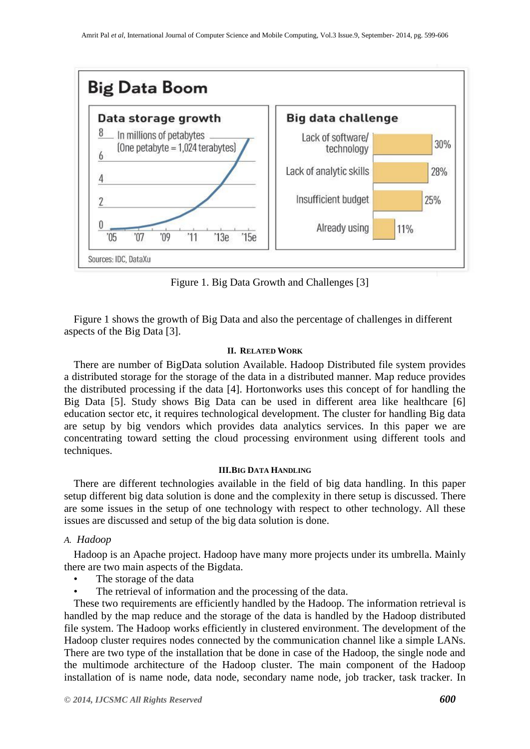

Figure 1. Big Data Growth and Challenges [3]

Figure 1 shows the growth of Big Data and also the percentage of challenges in different aspects of the Big Data [3].

#### **II. RELATED WORK**

There are number of BigData solution Available. Hadoop Distributed file system provides a distributed storage for the storage of the data in a distributed manner. Map reduce provides the distributed processing if the data [4]. Hortonworks uses this concept of for handling the Big Data [5]. Study shows Big Data can be used in different area like healthcare [6] education sector etc, it requires technological development. The cluster for handling Big data are setup by big vendors which provides data analytics services. In this paper we are concentrating toward setting the cloud processing environment using different tools and techniques.

# **III.BIG DATA HANDLING**

There are different technologies available in the field of big data handling. In this paper setup different big data solution is done and the complexity in there setup is discussed. There are some issues in the setup of one technology with respect to other technology. All these issues are discussed and setup of the big data solution is done.

# *A. Hadoop*

Hadoop is an Apache project. Hadoop have many more projects under its umbrella. Mainly there are two main aspects of the Bigdata.

- The storage of the data
- The retrieval of information and the processing of the data.

These two requirements are efficiently handled by the Hadoop. The information retrieval is handled by the map reduce and the storage of the data is handled by the Hadoop distributed file system. The Hadoop works efficiently in clustered environment. The development of the Hadoop cluster requires nodes connected by the communication channel like a simple LANs. There are two type of the installation that be done in case of the Hadoop, the single node and the multimode architecture of the Hadoop cluster. The main component of the Hadoop installation of is name node, data node, secondary name node, job tracker, task tracker. In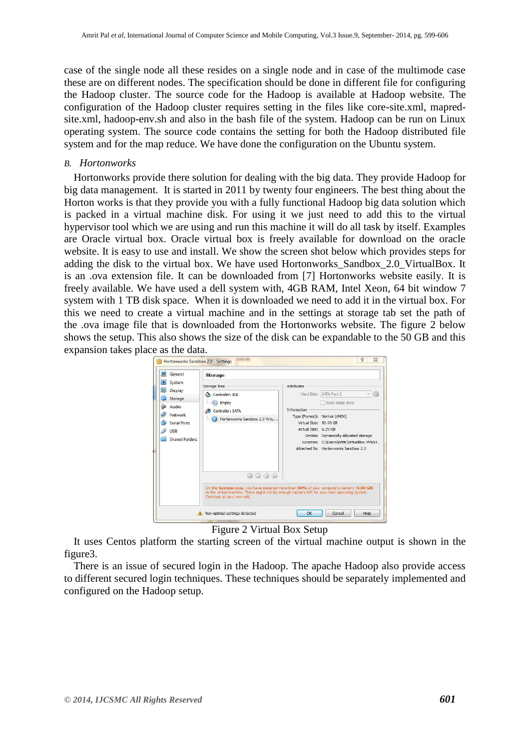case of the single node all these resides on a single node and in case of the multimode case these are on different nodes. The specification should be done in different file for configuring the Hadoop cluster. The source code for the Hadoop is available at Hadoop website. The configuration of the Hadoop cluster requires setting in the files like core-site.xml, mapredsite.xml, hadoop-env.sh and also in the bash file of the system. Hadoop can be run on Linux operating system. The source code contains the setting for both the Hadoop distributed file system and for the map reduce. We have done the configuration on the Ubuntu system.

#### *B. Hortonworks*

Hortonworks provide there solution for dealing with the big data. They provide Hadoop for big data management. It is started in 2011 by twenty four engineers. The best thing about the Horton works is that they provide you with a fully functional Hadoop big data solution which is packed in a virtual machine disk. For using it we just need to add this to the virtual hypervisor tool which we are using and run this machine it will do all task by itself. Examples are Oracle virtual box. Oracle virtual box is freely available for download on the oracle website. It is easy to use and install. We show the screen shot below which provides steps for adding the disk to the virtual box. We have used Hortonworks\_Sandbox\_2.0\_VirtualBox. It is an .ova extension file. It can be downloaded from [7] Hortonworks website easily. It is freely available. We have used a dell system with, 4GB RAM, Intel Xeon, 64 bit window 7 system with 1 TB disk space. When it is downloaded we need to add it in the virtual box. For this we need to create a virtual machine and in the settings at storage tab set the path of the .ova image file that is downloaded from the Hortonworks website. The figure 2 below shows the setup. This also shows the size of the disk can be expandable to the 50 GB and this expansion takes place as the data.



Figure 2 Virtual Box Setup

It uses Centos platform the starting screen of the virtual machine output is shown in the figure3.

There is an issue of secured login in the Hadoop. The apache Hadoop also provide access to different secured login techniques. These techniques should be separately implemented and configured on the Hadoop setup.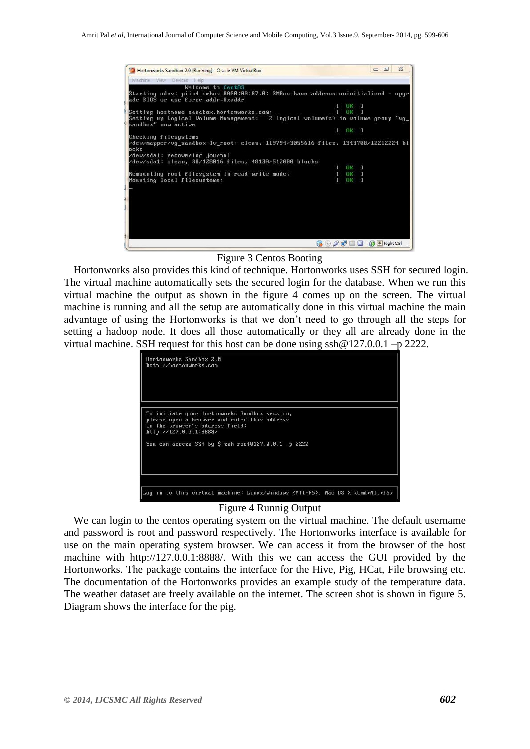| Hortonworks Sandbox 2.0 [Running] - Oracle VM VirtualBox                                                              |   |           | $\Box$<br>$\blacksquare$ | $\Sigma$ |
|-----------------------------------------------------------------------------------------------------------------------|---|-----------|--------------------------|----------|
| Machine View Devices Help                                                                                             |   |           |                          |          |
| Welcome to CentOS                                                                                                     |   |           |                          |          |
| Starting udev: piix4 smbus 0000:00:07.0: SMBus base address uninitialized - upgr<br>ade BIOS or use force_addr=0xaddr |   |           |                          |          |
|                                                                                                                       |   |           |                          |          |
| Setting hostname sandbox.hortonworks.com:                                                                             |   | nк        |                          |          |
| Setting up Logical Volume Management: - 2 logical volume(s) in volume group "vg<br>sandbox" now active                |   |           |                          |          |
|                                                                                                                       | г | BR 3      |                          |          |
| Checking filesystems                                                                                                  |   |           |                          |          |
| /dev/mapper/vg_sandbox-lv_root: clean, 119794/3055616 files, 1343708/12212224 bl<br>ncks                              |   |           |                          |          |
| /dev/sda1: recovering journal                                                                                         |   |           |                          |          |
| /dev/sda1: clean, 38/128016 files, 48130/512000 blocks                                                                |   |           |                          |          |
|                                                                                                                       |   | ПR        |                          |          |
| Remounting root filesystem in read-write mode:                                                                        |   | ĤК        |                          |          |
| Mounting local filesystems:                                                                                           |   | <b>OK</b> |                          |          |
|                                                                                                                       |   |           |                          |          |
|                                                                                                                       |   |           |                          |          |
|                                                                                                                       |   |           |                          |          |
|                                                                                                                       |   |           |                          |          |
|                                                                                                                       |   |           |                          |          |
|                                                                                                                       |   |           |                          |          |
|                                                                                                                       |   |           |                          |          |
|                                                                                                                       |   |           |                          |          |
|                                                                                                                       |   |           |                          |          |
|                                                                                                                       |   |           |                          |          |
|                                                                                                                       |   |           | + Right Ctrl             |          |

Figure 3 Centos Booting

Hortonworks also provides this kind of technique. Hortonworks uses SSH for secured login. The virtual machine automatically sets the secured login for the database. When we run this virtual machine the output as shown in the figure 4 comes up on the screen. The virtual machine is running and all the setup are automatically done in this virtual machine the main advantage of using the Hortonworks is that we don't need to go through all the steps for setting a hadoop node. It does all those automatically or they all are already done in the virtual machine. SSH request for this host can be done using ssh@127.0.0.1 –p 2222.

| Hortonworks Sandbox 2.0<br>http://hortonworks.com                                                                                                                                                                 |
|-------------------------------------------------------------------------------------------------------------------------------------------------------------------------------------------------------------------|
| To initiate your Hortonworks Sandbox session,<br>please open a browser and enter this address<br>in the browser's address field:<br>http://127.0.0.1:8888/<br>You can access SSH by \$ ssh root0127.0.0.1 -p 2222 |
| Log in to this virtual machine: Linux/Windows <alt+f5>, Mac OS X <cmd+alt+f5></cmd+alt+f5></alt+f5>                                                                                                               |

#### Figure 4 Runnig Output

We can login to the centos operating system on the virtual machine. The default username and password is root and password respectively. The Hortonworks interface is available for use on the main operating system browser. We can access it from the browser of the host machine with http://127.0.0.1:8888/. With this we can access the GUI provided by the Hortonworks. The package contains the interface for the Hive, Pig, HCat, File browsing etc. The documentation of the Hortonworks provides an example study of the temperature data. The weather dataset are freely available on the internet. The screen shot is shown in figure 5. Diagram shows the interface for the pig.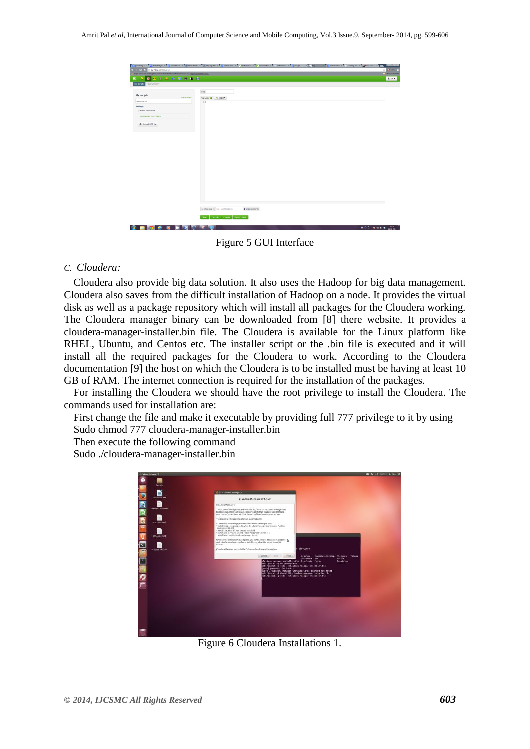|                                                                                              |                     |                                                       | $\odot$ 0 $\ast$ $\Box$ |
|----------------------------------------------------------------------------------------------|---------------------|-------------------------------------------------------|-------------------------|
| Apps For quick access, place your bookmarks here an the bookmarks bas. (import bookmarks now |                     |                                                       | Citar bostmake          |
| <b></b>                                                                                      |                     |                                                       | After                   |
| My Stripts Query history                                                                     |                     |                                                       |                         |
| My scripts                                                                                   | <b>QIREW SCRAFT</b> | TBY.                                                  |                         |
| All across yet                                                                               |                     | Pig script @ PiG helper*<br>1                         |                         |
| Settings<br>III Ernal notification                                                           |                     |                                                       |                         |
| <b><i>USIA ODINED FUNCTIONS W</i></b>                                                        |                     |                                                       |                         |
| @ Upload LOF Jan                                                                             |                     |                                                       |                         |
|                                                                                              |                     |                                                       |                         |
|                                                                                              |                     |                                                       |                         |
|                                                                                              |                     |                                                       |                         |
|                                                                                              |                     |                                                       |                         |
|                                                                                              |                     |                                                       |                         |
|                                                                                              |                     |                                                       |                         |
|                                                                                              |                     |                                                       |                         |
|                                                                                              |                     |                                                       |                         |
|                                                                                              |                     |                                                       |                         |
|                                                                                              |                     |                                                       |                         |
|                                                                                              |                     |                                                       |                         |
|                                                                                              |                     |                                                       |                         |
|                                                                                              |                     |                                                       |                         |
|                                                                                              |                     |                                                       |                         |
|                                                                                              |                     |                                                       |                         |
|                                                                                              |                     |                                                       |                         |
|                                                                                              |                     |                                                       |                         |
|                                                                                              |                     |                                                       |                         |
|                                                                                              |                     |                                                       |                         |
|                                                                                              |                     | confficialog (i) e.g. confficialog<br>+ pig arguments |                         |
|                                                                                              |                     | Save Excele Explan Syrfacebook                        |                         |

Figure 5 GUI Interface

#### *C. Cloudera:*

Cloudera also provide big data solution. It also uses the Hadoop for big data management. Cloudera also saves from the difficult installation of Hadoop on a node. It provides the virtual disk as well as a package repository which will install all packages for the Cloudera working. The Cloudera manager binary can be downloaded from [8] there website. It provides a cloudera-manager-installer.bin file. The Cloudera is available for the Linux platform like RHEL, Ubuntu, and Centos etc. The installer script or the .bin file is executed and it will install all the required packages for the Cloudera to work. According to the Cloudera documentation [9] the host on which the Cloudera is to be installed must be having at least 10 GB of RAM. The internet connection is required for the installation of the packages.

For installing the Cloudera we should have the root privilege to install the Cloudera. The commands used for installation are:

First change the file and make it executable by providing full 777 privilege to it by using Sudo chmod 777 cloudera-manager-installer.bin

Then execute the following command

Sudo ./cloudera-manager-installer.bin



Figure 6 Cloudera Installations 1.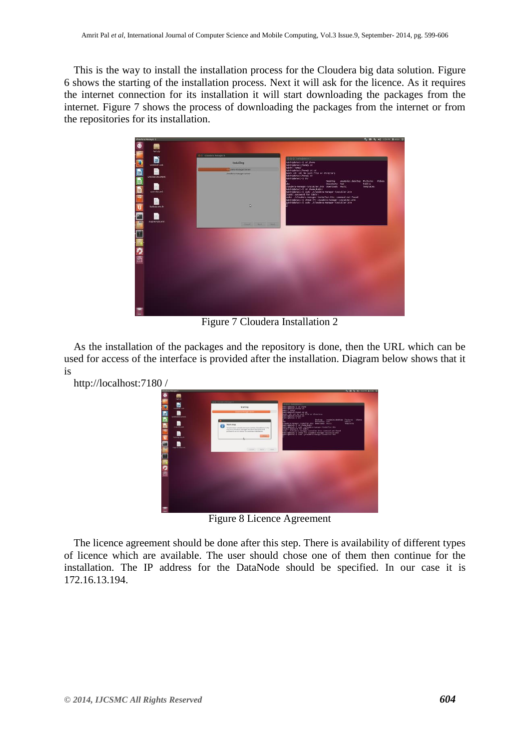This is the way to install the installation process for the Cloudera big data solution. Figure 6 shows the starting of the installation process. Next it will ask for the licence. As it requires the internet connection for its installation it will start downloading the packages from the internet. Figure 7 shows the process of downloading the packages from the internet or from the repositories for its installation.



Figure 7 Cloudera Installation 2

As the installation of the packages and the repository is done, then the URL which can be used for access of the interface is provided after the installation. Diagram below shows that it is



Figure 8 Licence Agreement

The licence agreement should be done after this step. There is availability of different types of licence which are available. The user should chose one of them then continue for the installation. The IP address for the DataNode should be specified. In our case it is 172.16.13.194.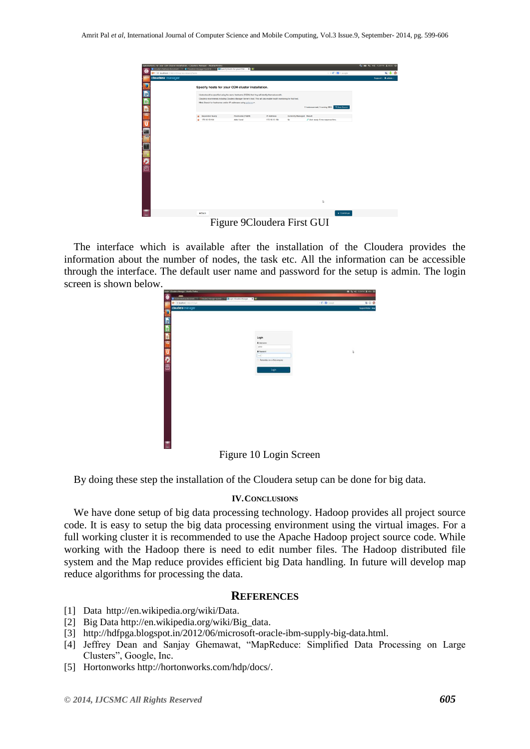| Specify heats for your COH cleaker Installation. - Clouders Manager - Mozilla Firefox | disadera ha feep document > C Cloudera Manager Quick St > C Specify hosts for your CDH  2 + |                                                                                                                      |               |                                                       |                                             | 4 8 1 40 43999 1 star 0 |
|---------------------------------------------------------------------------------------|---------------------------------------------------------------------------------------------|----------------------------------------------------------------------------------------------------------------------|---------------|-------------------------------------------------------|---------------------------------------------|-------------------------|
| O<br>B localhost:7100/cm(lexpress-wizard/hosts                                        |                                                                                             |                                                                                                                      |               |                                                       | <b>C B</b> y Google                         | $9 + 2$                 |
| cloudera manager                                                                      |                                                                                             |                                                                                                                      |               |                                                       |                                             | Support: A admin. -     |
| э                                                                                     |                                                                                             | Specify hosts for your CDH cluster installation.                                                                     |               |                                                       |                                             |                         |
|                                                                                       |                                                                                             | Hosts should be specified using the same hostname (FQDN) that they will identify themselves with.                    |               |                                                       |                                             |                         |
| E                                                                                     |                                                                                             | Cloudera recommends including Cloudera Manager Server's host. This will also enable health monitoring for that host. |               |                                                       |                                             |                         |
| E                                                                                     |                                                                                             | Hint: Search for hostnames and/or IP addresses using patienna m.                                                     |               |                                                       |                                             |                         |
| <b>DE SOLO</b>                                                                        |                                                                                             |                                                                                                                      |               |                                                       | 1 hosts scanned, 1 running 55H Q New Scansh |                         |
|                                                                                       | <b>Expanded Query</b>                                                                       | Hostname (FGDR)                                                                                                      | IP Address    | <b>Currently Managed Result</b>                       |                                             |                         |
|                                                                                       | # 172.16.13.194                                                                             | data1.local                                                                                                          | 172.16.13.194 | No                                                    | V Host ready: 0 ms response time.           |                         |
|                                                                                       |                                                                                             |                                                                                                                      |               |                                                       |                                             |                         |
|                                                                                       |                                                                                             |                                                                                                                      |               |                                                       |                                             |                         |
|                                                                                       |                                                                                             |                                                                                                                      |               |                                                       |                                             |                         |
|                                                                                       |                                                                                             |                                                                                                                      |               |                                                       |                                             |                         |
|                                                                                       |                                                                                             |                                                                                                                      |               |                                                       |                                             |                         |
|                                                                                       |                                                                                             |                                                                                                                      |               |                                                       |                                             |                         |
|                                                                                       |                                                                                             |                                                                                                                      |               |                                                       |                                             |                         |
|                                                                                       |                                                                                             |                                                                                                                      |               |                                                       |                                             |                         |
|                                                                                       |                                                                                             |                                                                                                                      |               |                                                       |                                             |                         |
|                                                                                       |                                                                                             |                                                                                                                      |               |                                                       |                                             |                         |
|                                                                                       |                                                                                             |                                                                                                                      |               |                                                       |                                             |                         |
|                                                                                       |                                                                                             |                                                                                                                      |               |                                                       |                                             |                         |
|                                                                                       |                                                                                             |                                                                                                                      |               |                                                       |                                             |                         |
|                                                                                       |                                                                                             |                                                                                                                      |               |                                                       |                                             |                         |
|                                                                                       |                                                                                             |                                                                                                                      |               |                                                       | Þ.                                          |                         |
|                                                                                       |                                                                                             |                                                                                                                      |               |                                                       |                                             |                         |
|                                                                                       | <b>KBack</b>                                                                                |                                                                                                                      |               |                                                       | * Continue                                  |                         |
|                                                                                       | T.                                                                                          |                                                                                                                      |               | $\Omega$ $\Omega$ $\Gamma$ $\Gamma$ $\Omega$ $\Gamma$ |                                             |                         |

Figure 9Cloudera First GUI

The interface which is available after the installation of the Cloudera provides the information about the number of nodes, the task etc. All the information can be accessible through the interface. The default user name and password for the setup is admin. The login screen is shown below.

| Login - Claudera Manager - Mozilla Firefox                      |                                 |                                | <b>m h</b> of those four $\phi$ |
|-----------------------------------------------------------------|---------------------------------|--------------------------------|---------------------------------|
| €<br>Their volte finish  Their New Old the Clerk Collection 2 + |                                 | $\cdot$ e $\mathbf{B}$ - toops |                                 |
| + discribed: minutions<br>cloudera manager                      |                                 |                                | $Q + Q$<br>Support Partel Help  |
| B                                                               |                                 |                                |                                 |
|                                                                 |                                 |                                |                                 |
|                                                                 |                                 |                                |                                 |
|                                                                 |                                 |                                |                                 |
|                                                                 |                                 |                                |                                 |
|                                                                 | Login                           |                                |                                 |
|                                                                 | A Quernane:<br>adrin            |                                |                                 |
|                                                                 | <b><i>A Password</i></b>        |                                | $\frac{1}{2}$                   |
|                                                                 | $_{\rm cool}$                   |                                |                                 |
|                                                                 | - Retenter me on this computer. |                                |                                 |
|                                                                 | Login                           |                                |                                 |
|                                                                 |                                 |                                |                                 |
|                                                                 |                                 |                                |                                 |
|                                                                 |                                 |                                |                                 |
|                                                                 |                                 |                                |                                 |
|                                                                 |                                 |                                |                                 |
|                                                                 |                                 |                                |                                 |
|                                                                 |                                 |                                |                                 |
|                                                                 |                                 |                                |                                 |
|                                                                 |                                 |                                |                                 |
|                                                                 |                                 |                                |                                 |
|                                                                 |                                 |                                |                                 |
|                                                                 |                                 |                                |                                 |
|                                                                 |                                 |                                |                                 |
|                                                                 |                                 |                                |                                 |
|                                                                 |                                 |                                |                                 |
|                                                                 | Figure 10 Login Screen          |                                |                                 |

Figure 10 Login Screen

By doing these step the installation of the Cloudera setup can be done for big data.

#### **IV.CONCLUSIONS**

We have done setup of big data processing technology. Hadoop provides all project source code. It is easy to setup the big data processing environment using the virtual images. For a full working cluster it is recommended to use the Apache Hadoop project source code. While working with the Hadoop there is need to edit number files. The Hadoop distributed file system and the Map reduce provides efficient big Data handling. In future will develop map reduce algorithms for processing the data.

# **REFERENCES**

- [1] Data http://en.wikipedia.org/wiki/Data.
- [2] Big Data http://en.wikipedia.org/wiki/Big\_data.
- [3] http://hdfpga.blogspot.in/2012/06/microsoft-oracle-ibm-supply-big-data.html.
- [4] Jeffrey Dean and Sanjay Ghemawat, "MapReduce: Simplified Data Processing on Large Clusters", Google, Inc.
- [5] Hortonworks http://hortonworks.com/hdp/docs/.